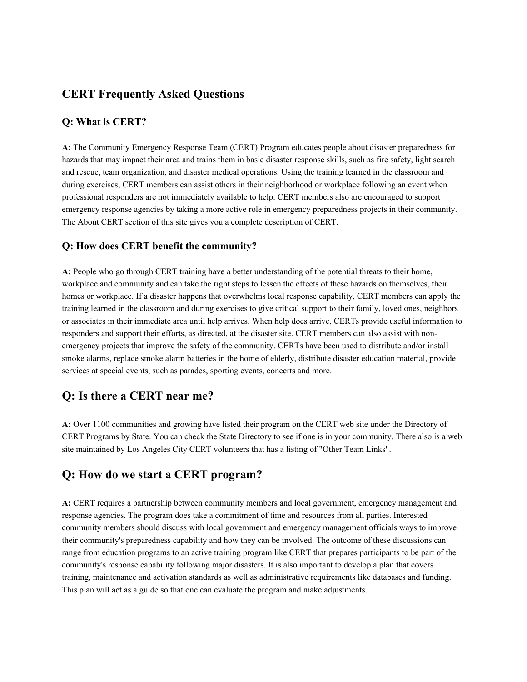## **CERT Frequently Asked Questions**

#### **Q: What is CERT?**

**A:** The Community Emergency Response Team (CERT) Program educates people about disaster preparedness for hazards that may impact their area and trains them in basic disaster response skills, such as fire safety, light search and rescue, team organization, and disaster medical operations. Using the training learned in the classroom and during exercises, CERT members can assist others in their neighborhood or workplace following an event when professional responders are not immediately available to help. CERT members also are encouraged to support emergency response agencies by taking a more active role in emergency preparedness projects in their community. The About CERT section of this site gives you a complete description of CERT.

#### **Q: How does CERT benefit the community?**

**A:** People who go through CERT training have a better understanding of the potential threats to their home, workplace and community and can take the right steps to lessen the effects of these hazards on themselves, their homes or workplace. If a disaster happens that overwhelms local response capability, CERT members can apply the training learned in the classroom and during exercises to give critical support to their family, loved ones, neighbors or associates in their immediate area until help arrives. When help does arrive, CERTs provide useful information to responders and support their efforts, as directed, at the disaster site. CERT members can also assist with nonemergency projects that improve the safety of the community. CERTs have been used to distribute and/or install smoke alarms, replace smoke alarm batteries in the home of elderly, distribute disaster education material, provide services at special events, such as parades, sporting events, concerts and more.

### **Q: Is there a CERT near me?**

**A:** Over 1100 communities and growing have listed their program on the CERT web site under the Directory of CERT Programs by State. You can check the State Directory to see if one is in your community. There also is a web site maintained by Los Angeles City CERT volunteers that has a listing of "Other Team Links".

### **Q: How do we start a CERT program?**

**A:** CERT requires a partnership between community members and local government, emergency management and response agencies. The program does take a commitment of time and resources from all parties. Interested community members should discuss with local government and emergency management officials ways to improve their community's preparedness capability and how they can be involved. The outcome of these discussions can range from education programs to an active training program like CERT that prepares participants to be part of the community's response capability following major disasters. It is also important to develop a plan that covers training, maintenance and activation standards as well as administrative requirements like databases and funding. This plan will act as a guide so that one can evaluate the program and make adjustments.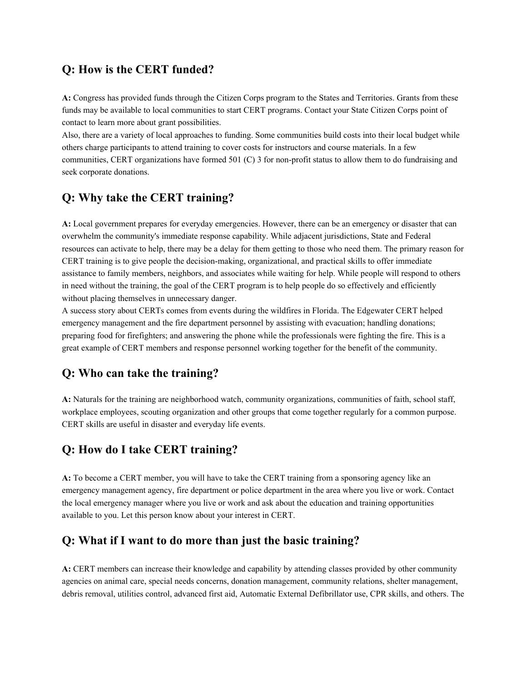### **Q: How is the CERT funded?**

**A:** Congress has provided funds through the Citizen Corps program to the States and Territories. Grants from these funds may be available to local communities to start CERT programs. Contact your State Citizen Corps point of contact to learn more about grant possibilities.

Also, there are a variety of local approaches to funding. Some communities build costs into their local budget while others charge participants to attend training to cover costs for instructors and course materials. In a few communities, CERT organizations have formed 501 (C) 3 for non-profit status to allow them to do fundraising and seek corporate donations.

## **Q: Why take the CERT training?**

**A:** Local government prepares for everyday emergencies. However, there can be an emergency or disaster that can overwhelm the community's immediate response capability. While adjacent jurisdictions, State and Federal resources can activate to help, there may be a delay for them getting to those who need them. The primary reason for CERT training is to give people the decision-making, organizational, and practical skills to offer immediate assistance to family members, neighbors, and associates while waiting for help. While people will respond to others in need without the training, the goal of the CERT program is to help people do so effectively and efficiently without placing themselves in unnecessary danger.

A success story about CERTs comes from events during the wildfires in Florida. The Edgewater CERT helped emergency management and the fire department personnel by assisting with evacuation; handling donations; preparing food for firefighters; and answering the phone while the professionals were fighting the fire. This is a great example of CERT members and response personnel working together for the benefit of the community.

# **Q: Who can take the training?**

**A:** Naturals for the training are neighborhood watch, community organizations, communities of faith, school staff, workplace employees, scouting organization and other groups that come together regularly for a common purpose. CERT skills are useful in disaster and everyday life events.

# **Q: How do I take CERT training?**

**A:** To become a CERT member, you will have to take the CERT training from a sponsoring agency like an emergency management agency, fire department or police department in the area where you live or work. Contact the local emergency manager where you live or work and ask about the education and training opportunities available to you. Let this person know about your interest in CERT.

### **Q: What if I want to do more than just the basic training?**

**A:** CERT members can increase their knowledge and capability by attending classes provided by other community agencies on animal care, special needs concerns, donation management, community relations, shelter management, debris removal, utilities control, advanced first aid, Automatic External Defibrillator use, CPR skills, and others. The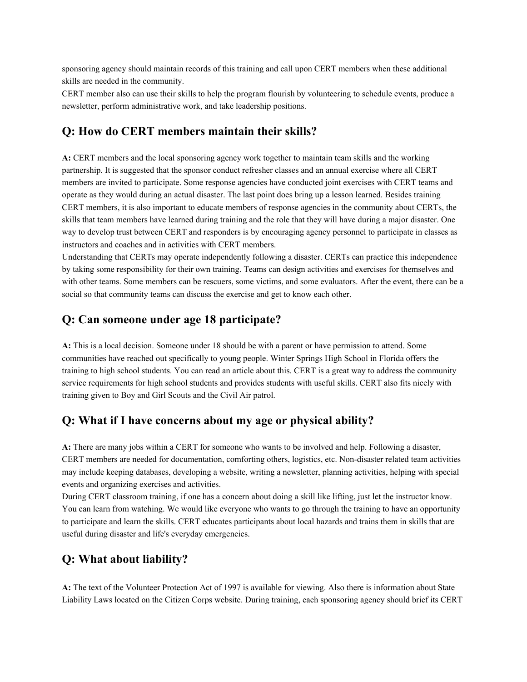sponsoring agency should maintain records of this training and call upon CERT members when these additional skills are needed in the community.

CERT member also can use their skills to help the program flourish by volunteering to schedule events, produce a newsletter, perform administrative work, and take leadership positions.

### **Q: How do CERT members maintain their skills?**

**A:** CERT members and the local sponsoring agency work together to maintain team skills and the working partnership. It is suggested that the sponsor conduct refresher classes and an annual exercise where all CERT members are invited to participate. Some response agencies have conducted joint exercises with CERT teams and operate as they would during an actual disaster. The last point does bring up a lesson learned. Besides training CERT members, it is also important to educate members of response agencies in the community about CERTs, the skills that team members have learned during training and the role that they will have during a major disaster. One way to develop trust between CERT and responders is by encouraging agency personnel to participate in classes as instructors and coaches and in activities with CERT members.

Understanding that CERTs may operate independently following a disaster. CERTs can practice this independence by taking some responsibility for their own training. Teams can design activities and exercises for themselves and with other teams. Some members can be rescuers, some victims, and some evaluators. After the event, there can be a social so that community teams can discuss the exercise and get to know each other.

#### **Q: Can someone under age 18 participate?**

**A:** This is a local decision. Someone under 18 should be with a parent or have permission to attend. Some communities have reached out specifically to young people. Winter Springs High School in Florida offers the training to high school students. You can read an article about this. CERT is a great way to address the community service requirements for high school students and provides students with useful skills. CERT also fits nicely with training given to Boy and Girl Scouts and the Civil Air patrol.

### **Q: What if I have concerns about my age or physical ability?**

**A:** There are many jobs within a CERT for someone who wants to be involved and help. Following a disaster, CERT members are needed for documentation, comforting others, logistics, etc. Non-disaster related team activities may include keeping databases, developing a website, writing a newsletter, planning activities, helping with special events and organizing exercises and activities.

During CERT classroom training, if one has a concern about doing a skill like lifting, just let the instructor know. You can learn from watching. We would like everyone who wants to go through the training to have an opportunity to participate and learn the skills. CERT educates participants about local hazards and trains them in skills that are useful during disaster and life's everyday emergencies.

#### **Q: What about liability?**

**A:** The text of the Volunteer Protection Act of 1997 is available for viewing. Also there is information about State Liability Laws located on the Citizen Corps website. During training, each sponsoring agency should brief its CERT